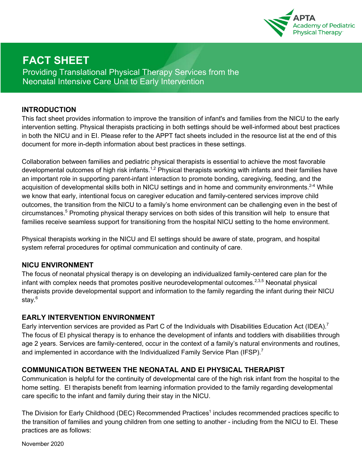

# **FACT SHEET**

Providing Translational Physical Therapy Services from the Neonatal Intensive Care Unit to Early Intervention

#### **INTRODUCTION**

This fact sheet provides information to improve the transition of infant's and families from the NICU to the early intervention setting. Physical therapists practicing in both settings should be well-informed about best practices in both the NICU and in EI. Please refer to the APPT fact sheets included in the resource list at the end of this document for more in-depth information about best practices in these settings.

Collaboration between families and pediatric physical therapists is essential to achieve the most favorable developmental outcomes of high risk infants.<sup>1,2</sup> Physical therapists working with infants and their families have an important role in supporting parent-infant interaction to promote bonding, caregiving, feeding, and the acquisition of developmental skills both in NICU settings and in home and community environments.<sup>2-4</sup> While we know that early, intentional focus on caregiver education and family-centered services improve child outcomes, the transition from the NICU to a family's home environment can be challenging even in the best of circumstances.5 Promoting physical therapy services on both sides of this transition will help to ensure that families receive seamless support for transitioning from the hospital NICU setting to the home environment.

Physical therapists working in the NICU and EI settings should be aware of state, program, and hospital system referral procedures for optimal communication and continuity of care.

#### **NICU ENVIRONMENT**

The focus of neonatal physical therapy is on developing an individualized family-centered care plan for the infant with complex needs that promotes positive neurodevelopmental outcomes.<sup>2,3,5</sup> Neonatal physical therapists provide developmental support and information to the family regarding the infant during their NICU stay.<sup>6</sup>

#### **EARLY INTERVENTION ENVIRONMENT**

Early intervention services are provided as Part C of the Individuals with Disabilities Education Act (IDEA).<sup>7</sup> The focus of EI physical therapy is to enhance the development of infants and toddlers with disabilities through age 2 years. Services are family-centered, occur in the context of a family's natural environments and routines, and implemented in accordance with the Individualized Family Service Plan (IFSP).<sup>7</sup>

### **COMMUNICATION BETWEEN THE NEONATAL AND EI PHYSICAL THERAPIST**

Communication is helpful for the continuity of developmental care of the high risk infant from the hospital to the home setting. EI therapists benefit from learning information provided to the family regarding developmental care specific to the infant and family during their stay in the NICU.

The Division for Early Childhood (DEC) Recommended Practices<sup>1</sup> includes recommended practices specific to the transition of families and young children from one setting to another - including from the NICU to EI. These practices are as follows:

November 2020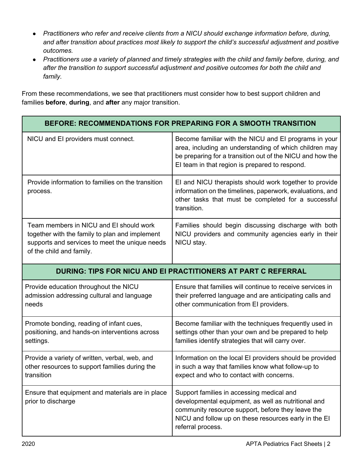- *Practitioners who refer and receive clients from a NICU should exchange information before, during, and after transition about practices most likely to support the child's successful adjustment and positive outcomes.*
- *Practitioners use a variety of planned and timely strategies with the child and family before, during, and after the transition to support successful adjustment and positive outcomes for both the child and family.*

From these recommendations, we see that practitioners must consider how to best support children and families **before**, **during**, and **after** any major transition.

| <b>BEFORE: RECOMMENDATIONS FOR PREPARING FOR A SMOOTH TRANSITION</b>                                                                                                    |                                                                                                                                                                                                                                     |
|-------------------------------------------------------------------------------------------------------------------------------------------------------------------------|-------------------------------------------------------------------------------------------------------------------------------------------------------------------------------------------------------------------------------------|
| NICU and EI providers must connect.                                                                                                                                     | Become familiar with the NICU and EI programs in your<br>area, including an understanding of which children may<br>be preparing for a transition out of the NICU and how the<br>El team in that region is prepared to respond.      |
| Provide information to families on the transition<br>process.                                                                                                           | El and NICU therapists should work together to provide<br>information on the timelines, paperwork, evaluations, and<br>other tasks that must be completed for a successful<br>transition.                                           |
| Team members in NICU and EI should work<br>together with the family to plan and implement<br>supports and services to meet the unique needs<br>of the child and family. | Families should begin discussing discharge with both<br>NICU providers and community agencies early in their<br>NICU stay.                                                                                                          |
| <b>DURING: TIPS FOR NICU AND EI PRACTITIONERS AT PART C REFERRAL</b>                                                                                                    |                                                                                                                                                                                                                                     |
| Provide education throughout the NICU<br>admission addressing cultural and language<br>needs                                                                            | Ensure that families will continue to receive services in<br>their preferred language and are anticipating calls and<br>other communication from EI providers.                                                                      |
| Promote bonding, reading of infant cues,<br>positioning, and hands-on interventions across<br>settings.                                                                 | Become familiar with the techniques frequently used in<br>settings other than your own and be prepared to help<br>families identify strategies that will carry over.                                                                |
| Provide a variety of written, verbal, web, and<br>other resources to support families during the<br>transition                                                          | Information on the local EI providers should be provided<br>in such a way that families know what follow-up to<br>expect and who to contact with concerns.                                                                          |
| Ensure that equipment and materials are in place<br>prior to discharge                                                                                                  | Support families in accessing medical and<br>developmental equipment, as well as nutritional and<br>community resource support, before they leave the<br>NICU and follow up on these resources early in the EI<br>referral process. |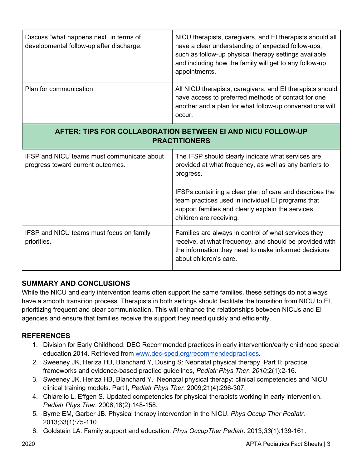| Discuss "what happens next" in terms of<br>developmental follow-up after discharge.    | NICU therapists, caregivers, and EI therapists should all<br>have a clear understanding of expected follow-ups,<br>such as follow-up physical therapy settings available<br>and including how the family will get to any follow-up<br>appointments. |
|----------------------------------------------------------------------------------------|-----------------------------------------------------------------------------------------------------------------------------------------------------------------------------------------------------------------------------------------------------|
| Plan for communication                                                                 | All NICU therapists, caregivers, and EI therapists should<br>have access to preferred methods of contact for one<br>another and a plan for what follow-up conversations will<br>occur.                                                              |
| AFTER: TIPS FOR COLLABORATION BETWEEN EI AND NICU FOLLOW-UP<br><b>PRACTITIONERS</b>    |                                                                                                                                                                                                                                                     |
| <b>IFSP and NICU teams must communicate about</b><br>progress toward current outcomes. | The IFSP should clearly indicate what services are<br>provided at what frequency, as well as any barriers to<br>progress.                                                                                                                           |
|                                                                                        | IFSPs containing a clear plan of care and describes the<br>team practices used in individual EI programs that<br>support families and clearly explain the services<br>children are receiving.                                                       |
| IFSP and NICU teams must focus on family<br>priorities.                                | Families are always in control of what services they<br>receive, at what frequency, and should be provided with<br>the information they need to make informed decisions<br>about children's care.                                                   |

# **SUMMARY AND CONCLUSIONS**

While the NICU and early intervention teams often support the same families, these settings do not always have a smooth transition process. Therapists in both settings should facilitate the transition from NICU to EI, prioritizing frequent and clear communication. This will enhance the relationships between NICUs and EI agencies and ensure that families receive the support they need quickly and efficiently.

### **REFERENCES**

- 1. Division for Early Childhood. DEC Recommended practices in early intervention/early childhood special education 2014. Retrieved from www.dec-sped.org/recommendedpractices.
- 2. Sweeney JK, Heriza HB, Blanchard Y, Dusing S: Neonatal physical therapy. Part II: practice frameworks and evidence-based practice guidelines, *Pediatr Phys Ther. 2010;*2(1):2-16.
- 3. Sweeney JK, Heriza HB, Blanchard Y. Neonatal physical therapy: clinical competencies and NICU clinical training models. Part I, *Pediatr Phys Ther.* 2009;21(4):296-307.
- 4. Chiarello L, Effgen S. Updated competencies for physical therapists working in early intervention. *Pediatr Phys Ther.* 2006;18(2):148-158.
- 5. Byrne EM, Garber JB. Physical therapy intervention in the NICU. *Phys Occup Ther Pediatr*. 2013;33(1):75-110.
- 6. Goldstein LA. Family support and education. *Phys OccupTher Pediatr*. 2013;*33*(1):139-161.